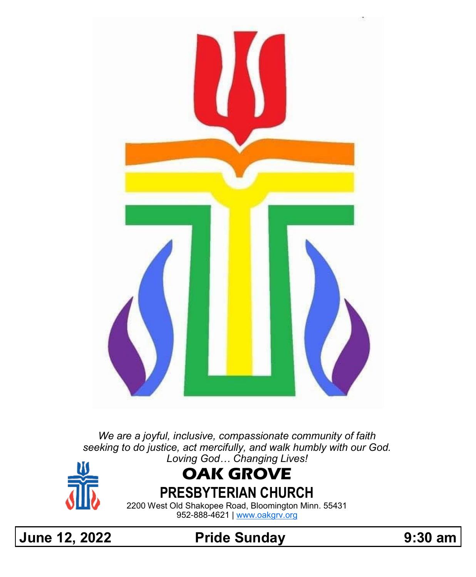

*We are a joyful, inclusive, compassionate community of faith seeking to do justice, act mercifully, and walk humbly with our God. Loving God… Changing Lives!*



# **OAK GROVE**

**PRESBYTERIAN CHURCH**

2200 West Old Shakopee Road, Bloomington Minn. 55431 952-888-4621 | [www.oakgrv.org](https://www.oakgrv.org)

**June 12, 2022 Pride Sunday 9:30 am**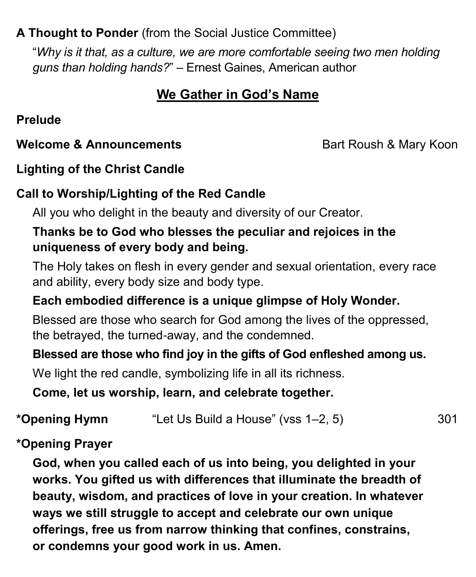## **A Thought to Ponder** (from the Social Justice Committee)

"*Why is it that, as a culture, we are more comfortable seeing two men holding guns than holding hands?*" – Ernest Gaines, American author

## **We Gather in God's Name**

**Prelude**

#### **Welcome & Announcements Bart Roush & Mary Koon**

## **Lighting of the Christ Candle**

## **Call to Worship/Lighting of the Red Candle**

All you who delight in the beauty and diversity of our Creator.

#### **Thanks be to God who blesses the peculiar and rejoices in the uniqueness of every body and being.**

The Holy takes on flesh in every gender and sexual orientation, every race and ability, every body size and body type.

## **Each embodied difference is a unique glimpse of Holy Wonder.**

Blessed are those who search for God among the lives of the oppressed, the betrayed, the turned-away, and the condemned.

#### **Blessed are those who find joy in the gifts of God enfleshed among us.**

We light the red candle, symbolizing life in all its richness.

**Come, let us worship, learn, and celebrate together.**

## **\*Opening Hymn** "Let Us Build a House" (vss 1–2, 5) 301

## **\*Opening Prayer**

**God, when you called each of us into being, you delighted in your works. You gifted us with differences that illuminate the breadth of beauty, wisdom, and practices of love in your creation. In whatever ways we still struggle to accept and celebrate our own unique offerings, free us from narrow thinking that confines, constrains, or condemns your good work in us. Amen.**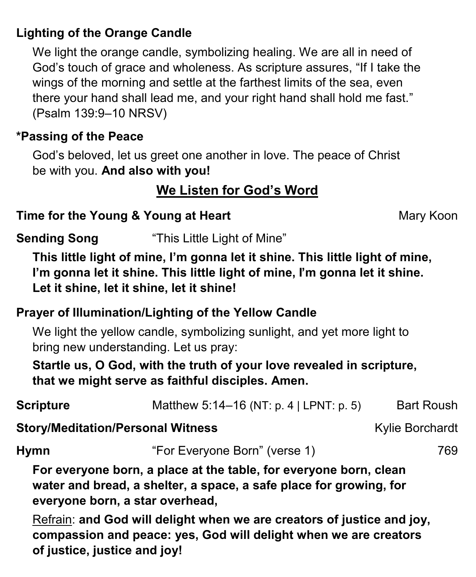## **Lighting of the Orange Candle**

We light the orange candle, symbolizing healing. We are all in need of God's touch of grace and wholeness. As scripture assures, "If I take the wings of the morning and settle at the farthest limits of the sea, even there your hand shall lead me, and your right hand shall hold me fast." (Psalm 139:9–10 NRSV)

#### **\*Passing of the Peace**

God's beloved, let us greet one another in love. The peace of Christ be with you. **And also with you!**

## **We Listen for God's Word**

## **Time for the Young & Young at Heart** Mary Koon

| <b>Sending Song</b> | "This Little Light of Mine" |
|---------------------|-----------------------------|
|                     |                             |

**This little light of mine, I'm gonna let it shine. This little light of mine, I'm gonna let it shine. This little light of mine, I'm gonna let it shine. Let it shine, let it shine, let it shine!**

#### **Prayer of Illumination/Lighting of the Yellow Candle**

We light the yellow candle, symbolizing sunlight, and yet more light to bring new understanding. Let us pray:

**Startle us, O God, with the truth of your love revealed in scripture, that we might serve as faithful disciples. Amen.**

| <b>Scripture</b>                                                                                                                                                           | Matthew 5:14-16 (NT: p. 4   LPNT: p. 5)                                | <b>Bart Roush</b>      |  |
|----------------------------------------------------------------------------------------------------------------------------------------------------------------------------|------------------------------------------------------------------------|------------------------|--|
| <b>Story/Meditation/Personal Witness</b>                                                                                                                                   |                                                                        | <b>Kylie Borchardt</b> |  |
| <b>Hymn</b>                                                                                                                                                                | "For Everyone Born" (verse 1)                                          | 769                    |  |
| For everyone born, a place at the table, for everyone born, clean<br>water and bread, a shelter, a space, a safe place for growing, for<br>everyone born, a star overhead, |                                                                        |                        |  |
|                                                                                                                                                                            | Refrain: and God will delight when we are creators of justice and joy. |                        |  |

Refrain: **and God will delight when we are creators of justice and joy, compassion and peace: yes, God will delight when we are creators of justice, justice and joy!**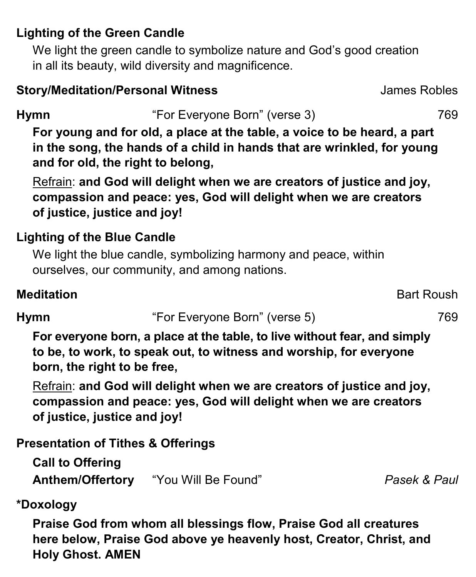## **Lighting of the Green Candle**

We light the green candle to symbolize nature and God's good creation in all its beauty, wild diversity and magnificence.

#### **Story/Meditation/Personal Witness James Robles**

**Hymn** "For Everyone Born" (verse 3) 769

**For young and for old, a place at the table, a voice to be heard, a part in the song, the hands of a child in hands that are wrinkled, for young and for old, the right to belong,**

Refrain: **and God will delight when we are creators of justice and joy, compassion and peace: yes, God will delight when we are creators of justice, justice and joy!**

## **Lighting of the Blue Candle**

We light the blue candle, symbolizing harmony and peace, within ourselves, our community, and among nations.

## **Meditation** Bart Roush

**Hymn** "For Everyone Born" (verse 5) 769

**For everyone born, a place at the table, to live without fear, and simply to be, to work, to speak out, to witness and worship, for everyone born, the right to be free,**

Refrain: **and God will delight when we are creators of justice and joy, compassion and peace: yes, God will delight when we are creators of justice, justice and joy!**

## **Presentation of Tithes & Offerings**

**Call to Offering Anthem/Offertory** "You Will Be Found" *Pasek & Paul*

## **\*Doxology**

**Praise God from whom all blessings flow, Praise God all creatures here below, Praise God above ye heavenly host, Creator, Christ, and Holy Ghost. AMEN**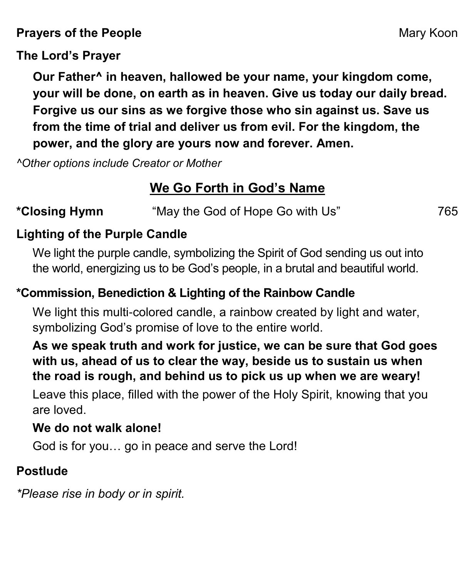**Prayers of the People** Mary Koon

#### **The Lord's Prayer**

**Our Father^ in heaven, hallowed be your name, your kingdom come, your will be done, on earth as in heaven. Give us today our daily bread. Forgive us our sins as we forgive those who sin against us. Save us from the time of trial and deliver us from evil. For the kingdom, the power, and the glory are yours now and forever. Amen.**

*^Other options include Creator or Mother*

## **We Go Forth in God's Name**

## **\*Closing Hymn** "May the God of Hope Go with Us" 765

## **Lighting of the Purple Candle**

We light the purple candle, symbolizing the Spirit of God sending us out into the world, energizing us to be God's people, in a brutal and beautiful world.

## **\*Commission, Benediction & Lighting of the Rainbow Candle**

We light this multi-colored candle, a rainbow created by light and water, symbolizing God's promise of love to the entire world.

## **As we speak truth and work for justice, we can be sure that God goes with us, ahead of us to clear the way, beside us to sustain us when the road is rough, and behind us to pick us up when we are weary!**

Leave this place, filled with the power of the Holy Spirit, knowing that you are loved.

## **We do not walk alone!**

God is for you… go in peace and serve the Lord!

## **Postlude**

*\*Please rise in body or in spirit.*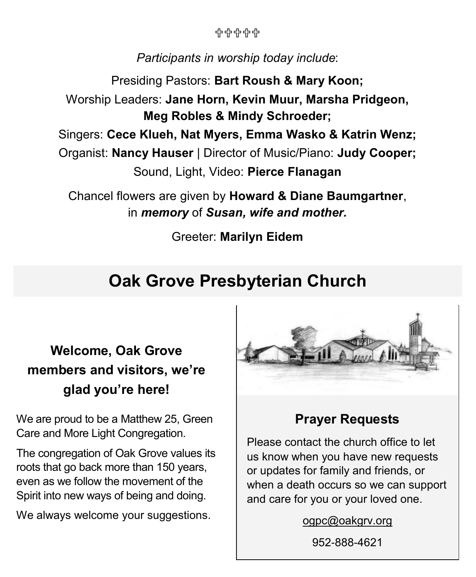유유유유유

## *Participants in worship today include*:

Presiding Pastors: **Bart Roush & Mary Koon;** Worship Leaders: **Jane Horn, Kevin Muur, Marsha Pridgeon, Meg Robles & Mindy Schroeder;** Singers: **Cece Klueh, Nat Myers, Emma Wasko & Katrin Wenz;** Organist: **Nancy Hauser** | Director of Music/Piano: **Judy Cooper;** Sound, Light, Video: **Pierce Flanagan**

Chancel flowers are given by **Howard & Diane Baumgartner**, in *memory* of *Susan, wife and mother.*

Greeter: **Marilyn Eidem**

## **Oak Grove Presbyterian Church**

## **Welcome, Oak Grove members and visitors, we're glad you're here!**

We are proud to be a Matthew 25, Green Care and More Light Congregation.

The congregation of Oak Grove values its roots that go back more than 150 years, even as we follow the movement of the Spirit into new ways of being and doing.

We always welcome your suggestions.



## **Prayer Requests**

Please contact the church office to let us know when you have new requests or updates for family and friends, or when a death occurs so we can support and care for you or your loved one.

[ogpc@oakgrv.org](mailto:ogpc@oakgrv.org)

952-888-4621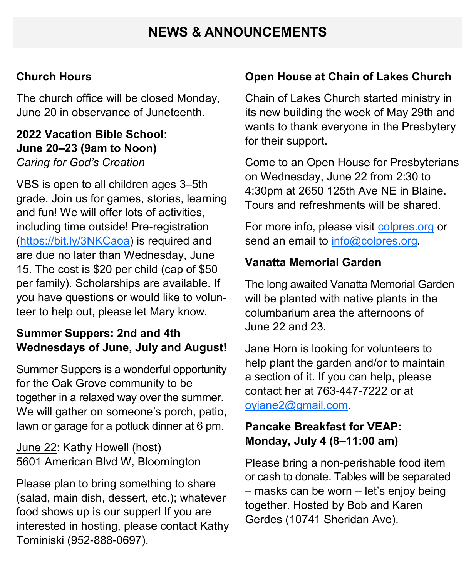## **NEWS & ANNOUNCEMENTS**

#### **Church Hours**

The church office will be closed Monday, June 20 in observance of Juneteenth.

#### **2022 Vacation Bible School: June 20–23 (9am to Noon)** *Caring for God's Creation*

VBS is open to all children ages 3–5th grade. Join us for games, stories, learning and fun! We will offer lots of activities, including time outside! Pre-registration [\(https://bit.ly/3NKCaoa\)](https://bit.ly/3NKCaoa) is required and are due no later than Wednesday, June 15. The cost is \$20 per child (cap of \$50 per family). Scholarships are available. If you have questions or would like to volunteer to help out, please let Mary know.

#### **Summer Suppers: 2nd and 4th Wednesdays of June, July and August!**

Summer Suppers is a wonderful opportunity for the Oak Grove community to be together in a relaxed way over the summer. We will gather on someone's porch, patio, lawn or garage for a potluck dinner at 6 pm.

June 22: Kathy Howell (host) 5601 American Blvd W, Bloomington

Please plan to bring something to share (salad, main dish, dessert, etc.); whatever food shows up is our supper! If you are interested in hosting, please contact Kathy Tominiski (952-888-0697).

#### **Open House at Chain of Lakes Church**

Chain of Lakes Church started ministry in its new building the week of May 29th and wants to thank everyone in the Presbytery for their support.

Come to an Open House for Presbyterians on Wednesday, June 22 from 2:30 to 4:30pm at 2650 125th Ave NE in Blaine. Tours and refreshments will be shared.

For more info, please visit [colpres.org](https://colpres.org) or send an email to [info@colpres.org.](mailto:info@colpres.org)

#### **Vanatta Memorial Garden**

The long awaited Vanatta Memorial Garden will be planted with native plants in the columbarium area the afternoons of June 22 and 23.

Jane Horn is looking for volunteers to help plant the garden and/or to maintain a section of it. If you can help, please contact her at 763-447-7222 or at oviane2@gmail.com

#### **Pancake Breakfast for VEAP: Monday, July 4 (8–11:00 am)**

Please bring a non-perishable food item or cash to donate. Tables will be separated – masks can be worn – let's enjoy being together. Hosted by Bob and Karen Gerdes (10741 Sheridan Ave).